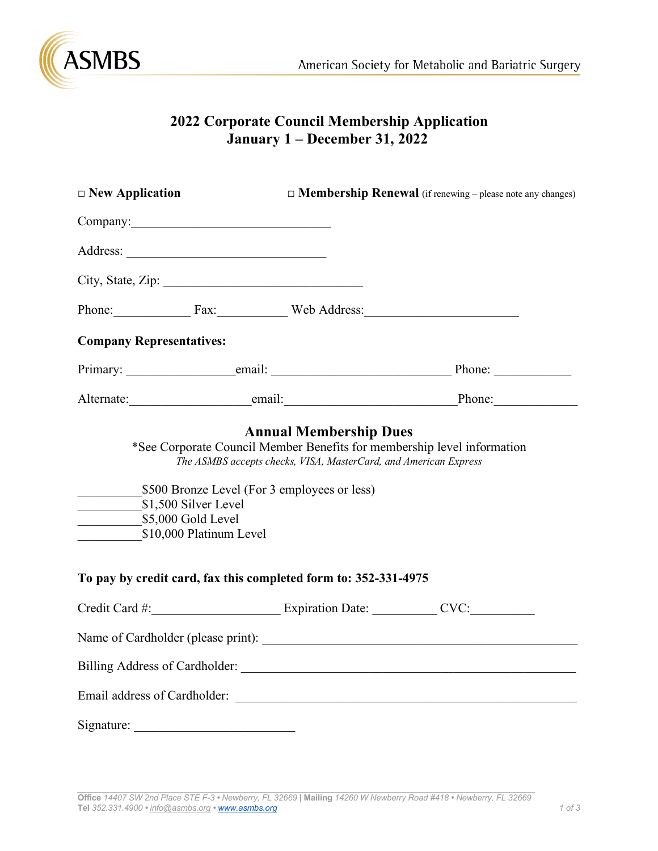

## **2022 Corporate Council Membership Application January 1 – December 31, 2022**

| $\Box$ New Application                                                |                                                                                                                                                                                             | $\Box$ <b>Membership Renewal</b> (if renewing – please note any changes) |
|-----------------------------------------------------------------------|---------------------------------------------------------------------------------------------------------------------------------------------------------------------------------------------|--------------------------------------------------------------------------|
| Company:                                                              |                                                                                                                                                                                             |                                                                          |
|                                                                       |                                                                                                                                                                                             |                                                                          |
|                                                                       | City, State, Zip:                                                                                                                                                                           |                                                                          |
|                                                                       | Phone: Fax: Fax: Web Address:                                                                                                                                                               |                                                                          |
| <b>Company Representatives:</b>                                       |                                                                                                                                                                                             |                                                                          |
|                                                                       |                                                                                                                                                                                             |                                                                          |
|                                                                       |                                                                                                                                                                                             | Alternate: email: email: Phone: Phone:                                   |
| \$1,500 Silver Level<br>\$5,000 Gold Level<br>\$10,000 Platinum Level | *See Corporate Council Member Benefits for membership level information<br>The ASMBS accepts checks, VISA, MasterCard, and American Express<br>\$500 Bronze Level (For 3 employees or less) |                                                                          |
|                                                                       | To pay by credit card, fax this completed form to: 352-331-4975                                                                                                                             |                                                                          |
|                                                                       | Credit Card #: Expiration Date: CVC: CVC:                                                                                                                                                   |                                                                          |
|                                                                       |                                                                                                                                                                                             |                                                                          |
|                                                                       |                                                                                                                                                                                             |                                                                          |
|                                                                       |                                                                                                                                                                                             |                                                                          |
| Signature:                                                            |                                                                                                                                                                                             |                                                                          |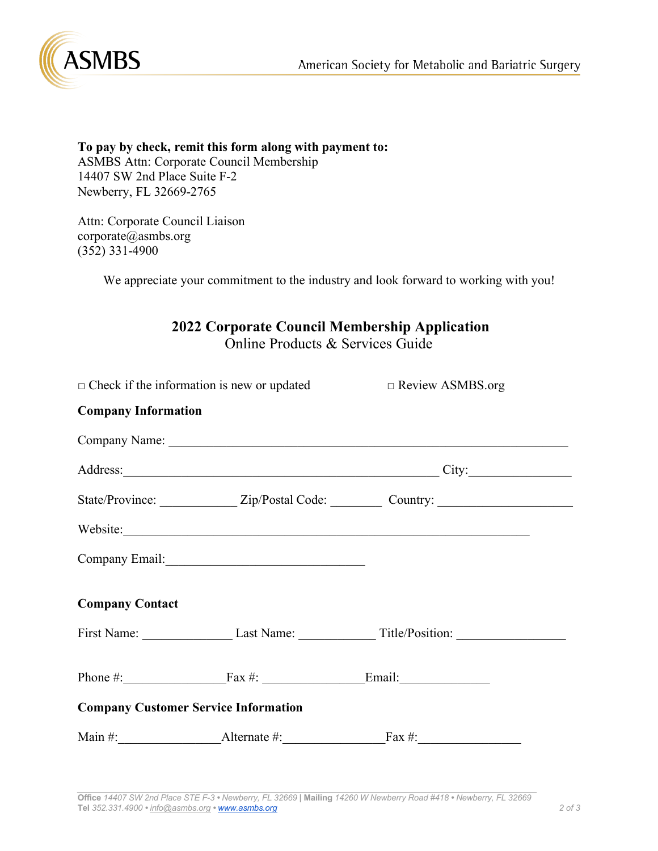

**To pay by check, remit this form along with payment to:**  ASMBS Attn: Corporate Council Membership 14407 SW 2nd Place Suite F-2 Newberry, FL 32669-2765

Attn: Corporate Council Liaison corporate@asmbs.org (352) 331-4900

We appreciate your commitment to the industry and look forward to working with you!

| 2022 Corporate Council Membership Application |                                  |  |
|-----------------------------------------------|----------------------------------|--|
|                                               | Ouling Duadrate & Causiaca Cride |  |

Online Products & Services Guide

| $\Box$ Check if the information is new or updated $\Box$ Review ASMBS.org |  |                                                                                   |  |  |
|---------------------------------------------------------------------------|--|-----------------------------------------------------------------------------------|--|--|
| <b>Company Information</b>                                                |  |                                                                                   |  |  |
|                                                                           |  | Company Name:                                                                     |  |  |
|                                                                           |  | Address: City: City:                                                              |  |  |
|                                                                           |  | State/Province: _______________ Zip/Postal Code: __________ Country: ____________ |  |  |
|                                                                           |  | Website:                                                                          |  |  |
|                                                                           |  |                                                                                   |  |  |
| <b>Company Contact</b>                                                    |  |                                                                                   |  |  |
|                                                                           |  |                                                                                   |  |  |
| Phone #: $\qquad \qquad$ Fax #: $\qquad \qquad$ Email:                    |  |                                                                                   |  |  |
| <b>Company Customer Service Information</b>                               |  |                                                                                   |  |  |
|                                                                           |  | Main #: $\qquad \qquad \text{Alternate } #: \qquad \qquad \text{Fax } #:$         |  |  |